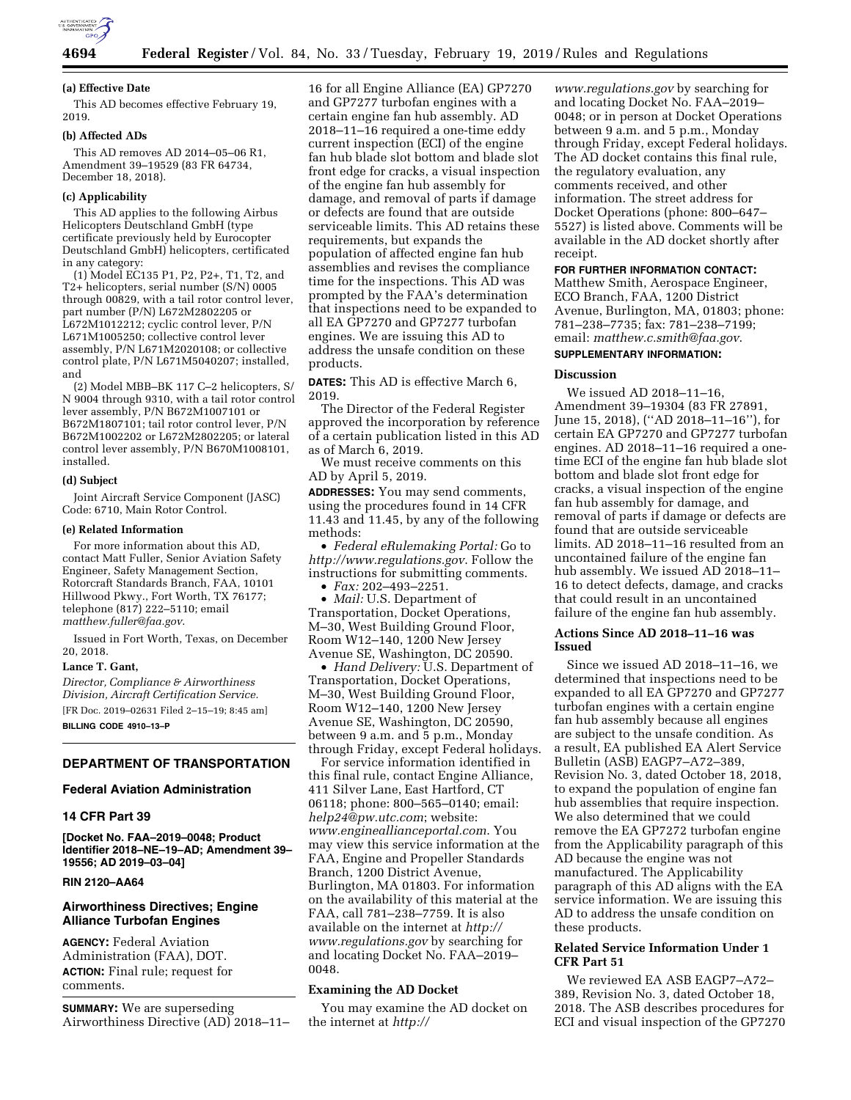

#### **(a) Effective Date**

This AD becomes effective February 19, 2019.

## **(b) Affected ADs**

This AD removes AD 2014–05–06 R1, Amendment 39–19529 (83 FR 64734, December 18, 2018).

### **(c) Applicability**

This AD applies to the following Airbus Helicopters Deutschland GmbH (type certificate previously held by Eurocopter Deutschland GmbH) helicopters, certificated in any category:

(1) Model EC135 P1, P2, P2+, T1, T2, and T2+ helicopters, serial number (S/N) 0005 through 00829, with a tail rotor control lever, part number (P/N) L672M2802205 or L672M1012212; cyclic control lever, P/N L671M1005250; collective control lever assembly, P/N L671M2020108; or collective control plate, P/N L671M5040207; installed, and

(2) Model MBB–BK 117 C–2 helicopters, S/ N 9004 through 9310, with a tail rotor control lever assembly, P/N B672M1007101 or B672M1807101; tail rotor control lever, P/N B672M1002202 or L672M2802205; or lateral control lever assembly, P/N B670M1008101, installed.

### **(d) Subject**

Joint Aircraft Service Component (JASC) Code: 6710, Main Rotor Control.

#### **(e) Related Information**

For more information about this AD, contact Matt Fuller, Senior Aviation Safety Engineer, Safety Management Section, Rotorcraft Standards Branch, FAA, 10101 Hillwood Pkwy., Fort Worth, TX 76177; telephone (817) 222–5110; email *[matthew.fuller@faa.gov](mailto:matthew.fuller@faa.gov)*.

Issued in Fort Worth, Texas, on December 20, 2018.

#### **Lance T. Gant,**

*Director, Compliance & Airworthiness Division, Aircraft Certification Service.*  [FR Doc. 2019–02631 Filed 2–15–19; 8:45 am]

**BILLING CODE 4910–13–P** 

# **DEPARTMENT OF TRANSPORTATION**

## **Federal Aviation Administration**

#### **14 CFR Part 39**

**[Docket No. FAA–2019–0048; Product Identifier 2018–NE–19–AD; Amendment 39– 19556; AD 2019–03–04]** 

### **RIN 2120–AA64**

## **Airworthiness Directives; Engine Alliance Turbofan Engines**

**AGENCY:** Federal Aviation Administration (FAA), DOT. **ACTION:** Final rule; request for comments.

**SUMMARY:** We are superseding Airworthiness Directive (AD) 2018–11– 16 for all Engine Alliance (EA) GP7270 and GP7277 turbofan engines with a certain engine fan hub assembly. AD 2018–11–16 required a one-time eddy current inspection (ECI) of the engine fan hub blade slot bottom and blade slot front edge for cracks, a visual inspection of the engine fan hub assembly for damage, and removal of parts if damage or defects are found that are outside serviceable limits. This AD retains these requirements, but expands the population of affected engine fan hub assemblies and revises the compliance time for the inspections. This AD was prompted by the FAA's determination that inspections need to be expanded to all EA GP7270 and GP7277 turbofan engines. We are issuing this AD to address the unsafe condition on these products.

**DATES:** This AD is effective March 6, 2019.

The Director of the Federal Register approved the incorporation by reference of a certain publication listed in this AD as of March 6, 2019.

We must receive comments on this AD by April 5, 2019.

**ADDRESSES:** You may send comments, using the procedures found in 14 CFR 11.43 and 11.45, by any of the following methods:

• *Federal eRulemaking Portal:* Go to *<http://www.regulations.gov>*. Follow the instructions for submitting comments. • *Fax:* 202–493–2251.

• *Mail:* U.S. Department of

Transportation, Docket Operations, M–30, West Building Ground Floor, Room W12–140, 1200 New Jersey Avenue SE, Washington, DC 20590.

• *Hand Delivery:* U.S. Department of Transportation, Docket Operations, M–30, West Building Ground Floor, Room W12–140, 1200 New Jersey Avenue SE, Washington, DC 20590, between 9 a.m. and 5 p.m., Monday through Friday, except Federal holidays.

For service information identified in this final rule, contact Engine Alliance, 411 Silver Lane, East Hartford, CT 06118; phone: 800–565–0140; email: *[help24@pw.utc.com](mailto:help24@pw.utc.com)*; website: *[www.engineallianceportal.com](http://www.engineallianceportal.com)*. You may view this service information at the FAA, Engine and Propeller Standards Branch, 1200 District Avenue, Burlington, MA 01803. For information on the availability of this material at the FAA, call 781–238–7759. It is also available on the internet at *[http://](http://www.regulations.gov) [www.regulations.gov](http://www.regulations.gov)* by searching for and locating Docket No. FAA–2019– 0048.

## **Examining the AD Docket**

You may examine the AD docket on the internet at *[http://](http://www.regulations.gov)*

*[www.regulations.gov](http://www.regulations.gov)* by searching for and locating Docket No. FAA–2019– 0048; or in person at Docket Operations between 9 a.m. and 5 p.m., Monday through Friday, except Federal holidays. The AD docket contains this final rule, the regulatory evaluation, any comments received, and other information. The street address for Docket Operations (phone: 800–647– 5527) is listed above. Comments will be available in the AD docket shortly after receipt.

#### **FOR FURTHER INFORMATION CONTACT:**

Matthew Smith, Aerospace Engineer, ECO Branch, FAA, 1200 District Avenue, Burlington, MA, 01803; phone: 781–238–7735; fax: 781–238–7199; email: *[matthew.c.smith@faa.gov](mailto:matthew.c.smith@faa.gov)*.

## **SUPPLEMENTARY INFORMATION:**

### **Discussion**

We issued AD 2018–11–16, Amendment 39–19304 (83 FR 27891, June 15, 2018), (''AD 2018–11–16''), for certain EA GP7270 and GP7277 turbofan engines. AD 2018–11–16 required a onetime ECI of the engine fan hub blade slot bottom and blade slot front edge for cracks, a visual inspection of the engine fan hub assembly for damage, and removal of parts if damage or defects are found that are outside serviceable limits. AD 2018–11–16 resulted from an uncontained failure of the engine fan hub assembly. We issued AD 2018–11– 16 to detect defects, damage, and cracks that could result in an uncontained failure of the engine fan hub assembly.

## **Actions Since AD 2018–11–16 was Issued**

Since we issued AD 2018–11–16, we determined that inspections need to be expanded to all EA GP7270 and GP7277 turbofan engines with a certain engine fan hub assembly because all engines are subject to the unsafe condition. As a result, EA published EA Alert Service Bulletin (ASB) EAGP7–A72–389, Revision No. 3, dated October 18, 2018, to expand the population of engine fan hub assemblies that require inspection. We also determined that we could remove the EA GP7272 turbofan engine from the Applicability paragraph of this AD because the engine was not manufactured. The Applicability paragraph of this AD aligns with the EA service information. We are issuing this AD to address the unsafe condition on these products.

## **Related Service Information Under 1 CFR Part 51**

We reviewed EA ASB EAGP7–A72– 389, Revision No. 3, dated October 18, 2018. The ASB describes procedures for ECI and visual inspection of the GP7270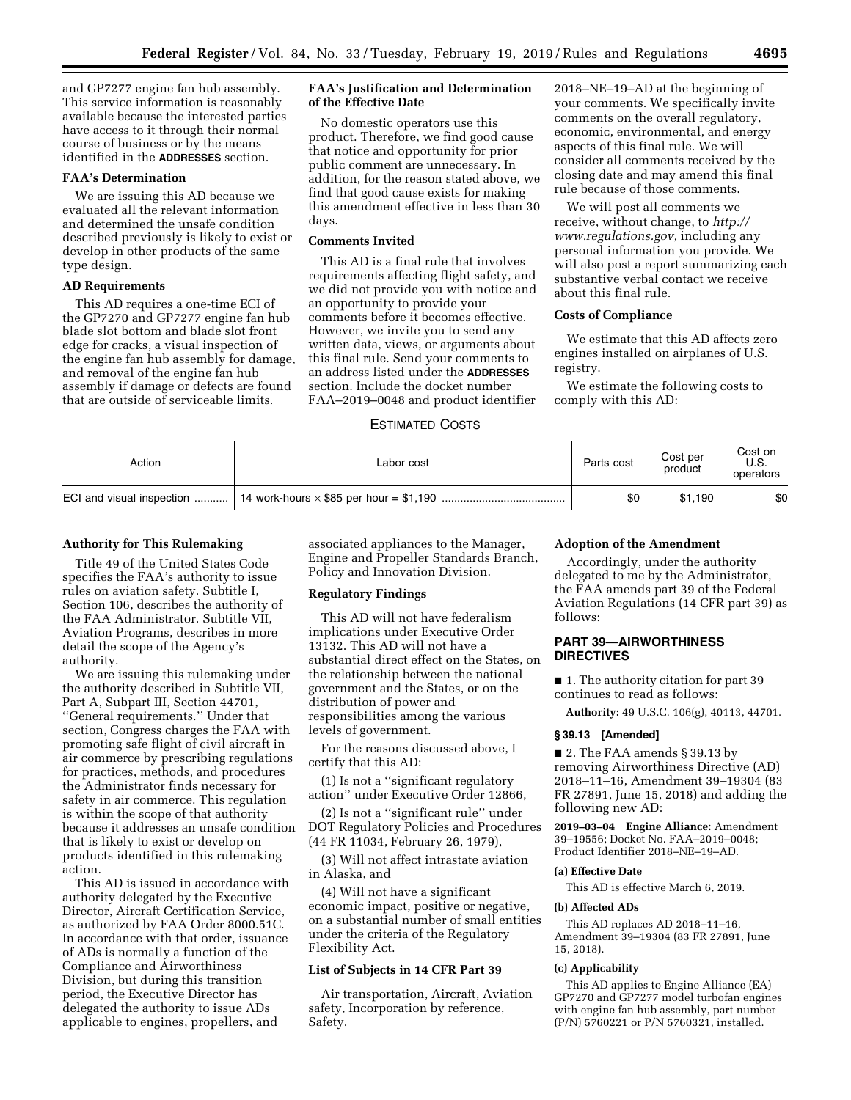and GP7277 engine fan hub assembly. This service information is reasonably available because the interested parties have access to it through their normal course of business or by the means identified in the **ADDRESSES** section.

#### **FAA's Determination**

We are issuing this AD because we evaluated all the relevant information and determined the unsafe condition described previously is likely to exist or develop in other products of the same type design.

### **AD Requirements**

This AD requires a one-time ECI of the GP7270 and GP7277 engine fan hub blade slot bottom and blade slot front edge for cracks, a visual inspection of the engine fan hub assembly for damage, and removal of the engine fan hub assembly if damage or defects are found that are outside of serviceable limits.

## **FAA's Justification and Determination of the Effective Date**

No domestic operators use this product. Therefore, we find good cause that notice and opportunity for prior public comment are unnecessary. In addition, for the reason stated above, we find that good cause exists for making this amendment effective in less than 30 days.

## **Comments Invited**

This AD is a final rule that involves requirements affecting flight safety, and we did not provide you with notice and an opportunity to provide your comments before it becomes effective. However, we invite you to send any written data, views, or arguments about this final rule. Send your comments to an address listed under the **ADDRESSES** section. Include the docket number FAA–2019–0048 and product identifier

2018–NE–19–AD at the beginning of your comments. We specifically invite comments on the overall regulatory, economic, environmental, and energy aspects of this final rule. We will consider all comments received by the closing date and may amend this final rule because of those comments.

We will post all comments we receive, without change, to *[http://](http://www.regulations.gov) [www.regulations.gov,](http://www.regulations.gov)* including any personal information you provide. We will also post a report summarizing each substantive verbal contact we receive about this final rule.

## **Costs of Compliance**

We estimate that this AD affects zero engines installed on airplanes of U.S. registry.

We estimate the following costs to comply with this AD:

#### ESTIMATED COSTS

| Action | Labor cost | Parts cost | Cost per<br>product | Cost on<br>U.S.<br>operators |
|--------|------------|------------|---------------------|------------------------------|
|        |            | \$0        | \$1.190             | \$0                          |

### **Authority for This Rulemaking**

Title 49 of the United States Code specifies the FAA's authority to issue rules on aviation safety. Subtitle I, Section 106, describes the authority of the FAA Administrator. Subtitle VII, Aviation Programs, describes in more detail the scope of the Agency's authority.

We are issuing this rulemaking under the authority described in Subtitle VII, Part A, Subpart III, Section 44701, ''General requirements.'' Under that section, Congress charges the FAA with promoting safe flight of civil aircraft in air commerce by prescribing regulations for practices, methods, and procedures the Administrator finds necessary for safety in air commerce. This regulation is within the scope of that authority because it addresses an unsafe condition that is likely to exist or develop on products identified in this rulemaking action.

This AD is issued in accordance with authority delegated by the Executive Director, Aircraft Certification Service, as authorized by FAA Order 8000.51C. In accordance with that order, issuance of ADs is normally a function of the Compliance and Airworthiness Division, but during this transition period, the Executive Director has delegated the authority to issue ADs applicable to engines, propellers, and

associated appliances to the Manager, Engine and Propeller Standards Branch, Policy and Innovation Division.

### **Regulatory Findings**

This AD will not have federalism implications under Executive Order 13132. This AD will not have a substantial direct effect on the States, on the relationship between the national government and the States, or on the distribution of power and responsibilities among the various levels of government.

For the reasons discussed above, I certify that this AD:

(1) Is not a ''significant regulatory action'' under Executive Order 12866,

(2) Is not a ''significant rule'' under DOT Regulatory Policies and Procedures (44 FR 11034, February 26, 1979),

(3) Will not affect intrastate aviation in Alaska, and

(4) Will not have a significant economic impact, positive or negative, on a substantial number of small entities under the criteria of the Regulatory Flexibility Act.

#### **List of Subjects in 14 CFR Part 39**

Air transportation, Aircraft, Aviation safety, Incorporation by reference, Safety.

### **Adoption of the Amendment**

Accordingly, under the authority delegated to me by the Administrator, the FAA amends part 39 of the Federal Aviation Regulations (14 CFR part 39) as follows:

## **PART 39—AIRWORTHINESS DIRECTIVES**

■ 1. The authority citation for part 39 continues to read as follows:

**Authority:** 49 U.S.C. 106(g), 40113, 44701.

#### **§ 39.13 [Amended]**

■ 2. The FAA amends § 39.13 by removing Airworthiness Directive (AD) 2018–11–16, Amendment 39–19304 (83 FR 27891, June 15, 2018) and adding the following new AD:

**2019–03–04 Engine Alliance:** Amendment 39–19556; Docket No. FAA–2019–0048; Product Identifier 2018–NE–19–AD.

### **(a) Effective Date**

This AD is effective March 6, 2019.

### **(b) Affected ADs**

This AD replaces AD 2018–11–16, Amendment 39–19304 (83 FR 27891, June 15, 2018).

## **(c) Applicability**

This AD applies to Engine Alliance (EA) GP7270 and GP7277 model turbofan engines with engine fan hub assembly, part number (P/N) 5760221 or P/N 5760321, installed.